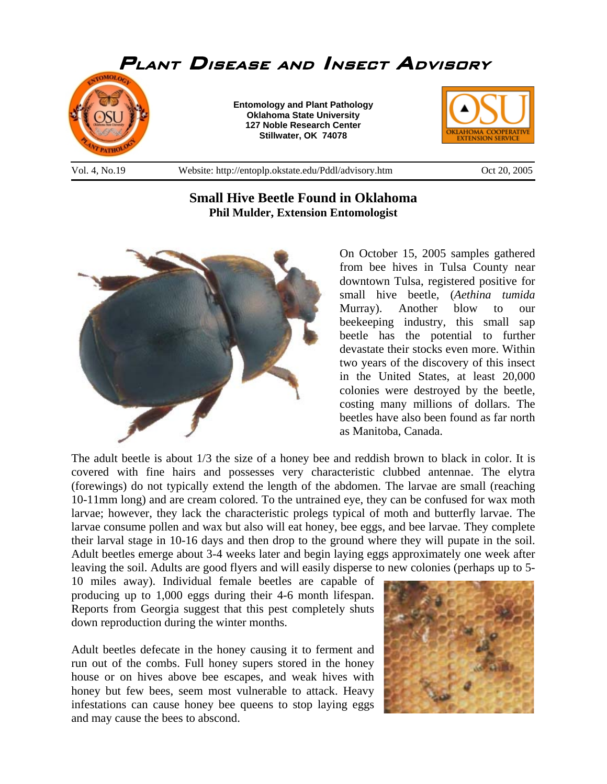

## **Small Hive Beetle Found in Oklahoma Phil Mulder, Extension Entomologist**



On October 15, 2005 samples gathered from bee hives in Tulsa County near downtown Tulsa, registered positive for small hive beetle, (*Aethina tumida* Murray). Another blow to our beekeeping industry, this small sap beetle has the potential to further devastate their stocks even more. Within two years of the discovery of this insect in the United States, at least 20,000 colonies were destroyed by the beetle, costing many millions of dollars. The beetles have also been found as far north as Manitoba, Canada.

The adult beetle is about 1/3 the size of a honey bee and reddish brown to black in color. It is covered with fine hairs and possesses very characteristic clubbed antennae. The elytra (forewings) do not typically extend the length of the abdomen. The larvae are small (reaching 10-11mm long) and are cream colored. To the untrained eye, they can be confused for wax moth larvae; however, they lack the characteristic prolegs typical of moth and butterfly larvae. The larvae consume pollen and wax but also will eat honey, bee eggs, and bee larvae. They complete their larval stage in 10-16 days and then drop to the ground where they will pupate in the soil. Adult beetles emerge about 3-4 weeks later and begin laying eggs approximately one week after leaving the soil. Adults are good flyers and will easily disperse to new colonies (perhaps up to 5-

10 miles away). Individual female beetles are capable of producing up to 1,000 eggs during their 4-6 month lifespan. Reports from Georgia suggest that this pest completely shuts down reproduction during the winter months.

Adult beetles defecate in the honey causing it to ferment and run out of the combs. Full honey supers stored in the honey house or on hives above bee escapes, and weak hives with honey but few bees, seem most vulnerable to attack. Heavy infestations can cause honey bee queens to stop laying eggs and may cause the bees to abscond.

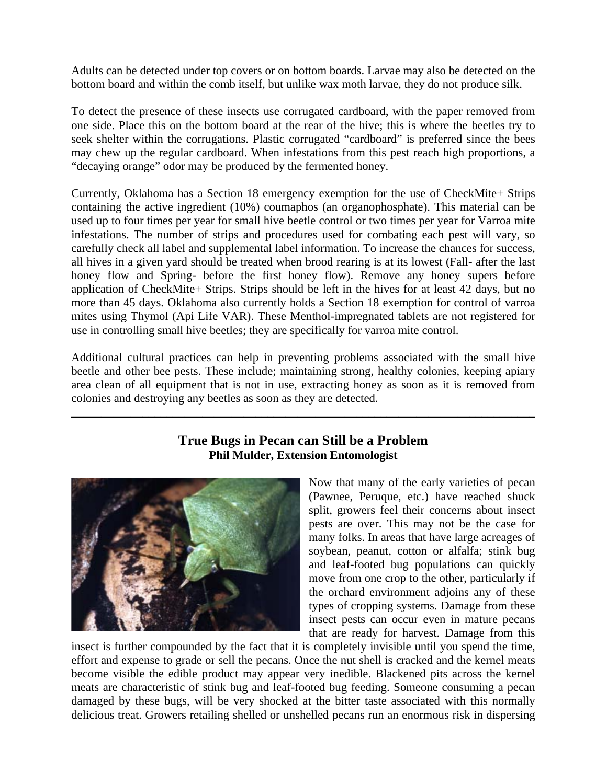Adults can be detected under top covers or on bottom boards. Larvae may also be detected on the bottom board and within the comb itself, but unlike wax moth larvae, they do not produce silk.

To detect the presence of these insects use corrugated cardboard, with the paper removed from one side. Place this on the bottom board at the rear of the hive; this is where the beetles try to seek shelter within the corrugations. Plastic corrugated "cardboard" is preferred since the bees may chew up the regular cardboard. When infestations from this pest reach high proportions, a "decaying orange" odor may be produced by the fermented honey.

Currently, Oklahoma has a Section 18 emergency exemption for the use of CheckMite+ Strips containing the active ingredient (10%) coumaphos (an organophosphate). This material can be used up to four times per year for small hive beetle control or two times per year for Varroa mite infestations. The number of strips and procedures used for combating each pest will vary, so carefully check all label and supplemental label information. To increase the chances for success, all hives in a given yard should be treated when brood rearing is at its lowest (Fall- after the last honey flow and Spring- before the first honey flow). Remove any honey supers before application of CheckMite+ Strips. Strips should be left in the hives for at least 42 days, but no more than 45 days. Oklahoma also currently holds a Section 18 exemption for control of varroa mites using Thymol (Api Life VAR). These Menthol-impregnated tablets are not registered for use in controlling small hive beetles; they are specifically for varroa mite control.

Additional cultural practices can help in preventing problems associated with the small hive beetle and other bee pests. These include; maintaining strong, healthy colonies, keeping apiary area clean of all equipment that is not in use, extracting honey as soon as it is removed from colonies and destroying any beetles as soon as they are detected.

\_\_\_\_\_\_\_\_\_\_\_\_\_\_\_\_\_\_\_\_\_\_\_\_\_\_\_\_\_\_\_\_\_\_\_\_\_\_\_\_\_\_\_\_\_\_\_\_\_\_\_\_\_\_\_\_\_\_\_\_\_\_\_\_\_\_\_\_\_\_\_\_\_\_\_\_\_\_

## **True Bugs in Pecan can Still be a Problem Phil Mulder, Extension Entomologist**



Now that many of the early varieties of pecan (Pawnee, Peruque, etc.) have reached shuck split, growers feel their concerns about insect pests are over. This may not be the case for many folks. In areas that have large acreages of soybean, peanut, cotton or alfalfa; stink bug and leaf-footed bug populations can quickly move from one crop to the other, particularly if the orchard environment adjoins any of these types of cropping systems. Damage from these insect pests can occur even in mature pecans that are ready for harvest. Damage from this

insect is further compounded by the fact that it is completely invisible until you spend the time, effort and expense to grade or sell the pecans. Once the nut shell is cracked and the kernel meats become visible the edible product may appear very inedible. Blackened pits across the kernel meats are characteristic of stink bug and leaf-footed bug feeding. Someone consuming a pecan damaged by these bugs, will be very shocked at the bitter taste associated with this normally delicious treat. Growers retailing shelled or unshelled pecans run an enormous risk in dispersing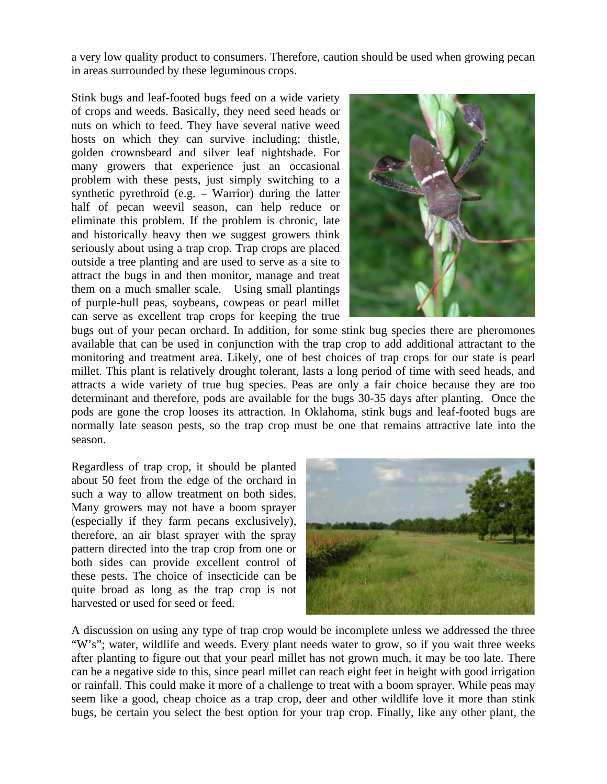a very low quality product to consumers. Therefore, caution should be used when growing pecan in areas surrounded by these leguminous crops.

Stink bugs and leaf-footed bugs feed on a wide variety of crops and weeds. Basically, they need seed heads or nuts on which to feed. They have several native weed hosts on which they can survive including; thistle, golden crownsbeard and silver leaf nightshade. For many growers that experience just an occasional problem with these pests, just simply switching to a synthetic pyrethroid (e.g. – Warrior) during the latter half of pecan weevil season, can help reduce or eliminate this problem. If the problem is chronic, late and historically heavy then we suggest growers think seriously about using a trap crop. Trap crops are placed outside a tree planting and are used to serve as a site to attract the bugs in and then monitor, manage and treat them on a much smaller scale. Using small plantings of purple-hull peas, soybeans, cowpeas or pearl millet can serve as excellent trap crops for keeping the true



bugs out of your pecan orchard. In addition, for some stink bug species there are pheromones available that can be used in conjunction with the trap crop to add additional attractant to the monitoring and treatment area. Likely, one of best choices of trap crops for our state is pearl millet. This plant is relatively drought tolerant, lasts a long period of time with seed heads, and attracts a wide variety of true bug species. Peas are only a fair choice because they are too determinant and therefore, pods are available for the bugs 30-35 days after planting. Once the pods are gone the crop looses its attraction. In Oklahoma, stink bugs and leaf-footed bugs are normally late season pests, so the trap crop must be one that remains attractive late into the season.

Regardless of trap crop, it should be planted about 50 feet from the edge of the orchard in such a way to allow treatment on both sides. Many growers may not have a boom sprayer (especially if they farm pecans exclusively), therefore, an air blast sprayer with the spray pattern directed into the trap crop from one or both sides can provide excellent control of these pests. The choice of insecticide can be quite broad as long as the trap crop is not harvested or used for seed or feed.



A discussion on using any type of trap crop would be incomplete unless we addressed the three "W's"; water, wildlife and weeds. Every plant needs water to grow, so if you wait three weeks after planting to figure out that your pearl millet has not grown much, it may be too late. There can be a negative side to this, since pearl millet can reach eight feet in height with good irrigation or rainfall. This could make it more of a challenge to treat with a boom sprayer. While peas may seem like a good, cheap choice as a trap crop, deer and other wildlife love it more than stink bugs, be certain you select the best option for your trap crop. Finally, like any other plant, the